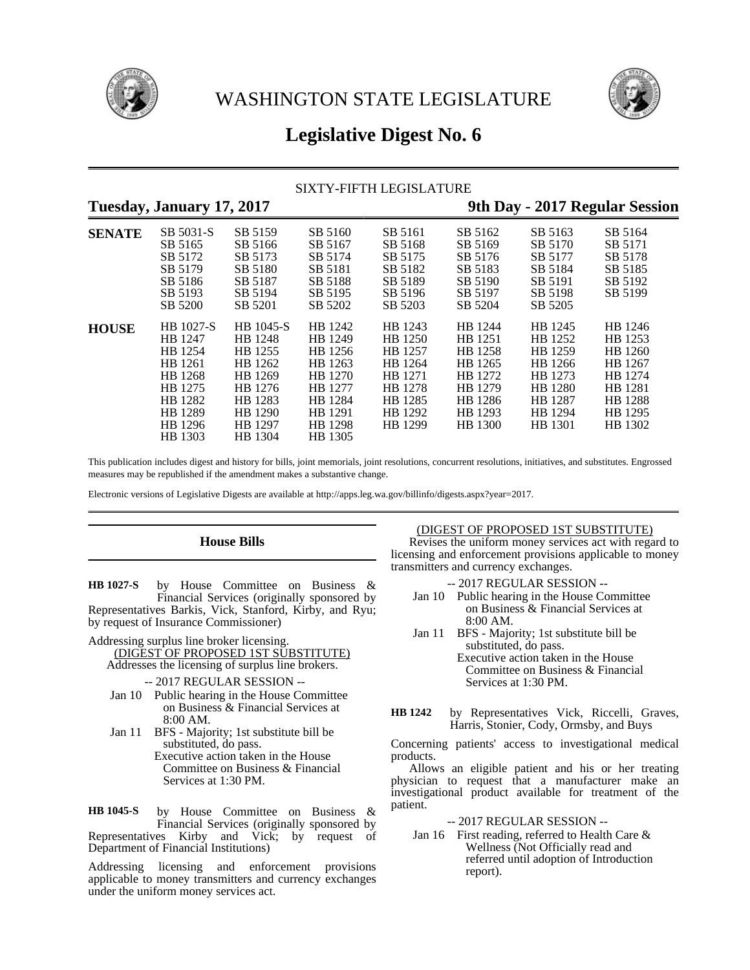



# **Legislative Digest No. 6**

# SIXTY-FIFTH LEGISLATURE

# **Tuesday, January 17, 2017 9th Day - 2017 Regular Session**

| $\mathbf{v}$  | $\boldsymbol{\nu}$                                                                                           | $\overline{\phantom{a}}$                                                                                     |                                                                                                            |                                                                                                 |                                                                                                 |                                                                                                 | ັ                                                                                               |
|---------------|--------------------------------------------------------------------------------------------------------------|--------------------------------------------------------------------------------------------------------------|------------------------------------------------------------------------------------------------------------|-------------------------------------------------------------------------------------------------|-------------------------------------------------------------------------------------------------|-------------------------------------------------------------------------------------------------|-------------------------------------------------------------------------------------------------|
| <b>SENATE</b> | SB 5031-S<br>SB 5165<br>SB 5172<br>SB 5179<br>SB 5186                                                        | SB 5159<br>SB 5166<br>SB 5173<br>SB 5180<br>SB 5187                                                          | SB 5160<br>SB 5167<br>SB 5174<br>SB 5181<br>SB 5188                                                        | SB 5161<br>SB 5168<br>SB 5175<br>SB 5182<br>SB 5189                                             | SB 5162<br>SB 5169<br>SB 5176<br>SB 5183<br>SB 5190                                             | SB 5163<br>SB 5170<br>SB 5177<br>SB 5184<br>SB 5191                                             | SB 5164<br>SB 5171<br>SB 5178<br>SB 5185<br>SB 5192                                             |
|               | SB 5193<br>SB 5200                                                                                           | SB 5194<br>SB 5201                                                                                           | SB 5195<br>SB 5202                                                                                         | SB 5196<br>SB 5203                                                                              | SB 5197<br>SB 5204                                                                              | SB 5198<br>SB 5205                                                                              | SB 5199                                                                                         |
| <b>HOUSE</b>  | HB 1027-S<br>HB 1247<br>HB 1254<br>HB 1261<br>HB 1268<br>HB 1275<br>HB 1282<br>HB 1289<br>HB 1296<br>HB 1303 | HB 1045-S<br>HB 1248<br>HB 1255<br>HB 1262<br>HB 1269<br>HB 1276<br>HB 1283<br>HB 1290<br>HB 1297<br>HB 1304 | HB 1242<br>HB 1249<br>HB 1256<br>HB 1263<br>HB 1270<br>HB 1277<br>HB 1284<br>HB 1291<br>HB 1298<br>HB 1305 | HB 1243<br>HB 1250<br>HB 1257<br>HB 1264<br>HB 1271<br>HB 1278<br>HB 1285<br>HB 1292<br>HB 1299 | HB 1244<br>HB 1251<br>HB 1258<br>HB 1265<br>HB 1272<br>HB 1279<br>HB 1286<br>HB 1293<br>HB 1300 | HB 1245<br>HB 1252<br>HB 1259<br>HB 1266<br>HB 1273<br>HB 1280<br>HB 1287<br>HB 1294<br>HB 1301 | HB 1246<br>HB 1253<br>HB 1260<br>HB 1267<br>HB 1274<br>HB 1281<br>HB 1288<br>HB 1295<br>HB 1302 |

This publication includes digest and history for bills, joint memorials, joint resolutions, concurrent resolutions, initiatives, and substitutes. Engrossed measures may be republished if the amendment makes a substantive change.

Electronic versions of Legislative Digests are available at http://apps.leg.wa.gov/billinfo/digests.aspx?year=2017.

# **House Bills**

by House Committee on Business & Financial Services (originally sponsored by Representatives Barkis, Vick, Stanford, Kirby, and Ryu; by request of Insurance Commissioner) **HB 1027-S**

Addressing surplus line broker licensing.

- (DIGEST OF PROPOSED 1ST SUBSTITUTE) Addresses the licensing of surplus line brokers.
	- -- 2017 REGULAR SESSION --
- Jan 10 Public hearing in the House Committee on Business & Financial Services at 8:00 AM.
- Jan 11 BFS Majority; 1st substitute bill be substituted, do pass.
	- Executive action taken in the House Committee on Business & Financial Services at 1:30 PM.

by House Committee on Business & Financial Services (originally sponsored by Representatives Kirby and Vick; by request of Department of Financial Institutions) **HB 1045-S**

Addressing licensing and enforcement provisions applicable to money transmitters and currency exchanges under the uniform money services act.

(DIGEST OF PROPOSED 1ST SUBSTITUTE)

Revises the uniform money services act with regard to licensing and enforcement provisions applicable to money transmitters and currency exchanges.

- -- 2017 REGULAR SESSION --
- Jan 10 Public hearing in the House Committee on Business & Financial Services at 8:00 AM.
- Jan 11 BFS Majority; 1st substitute bill be substituted, do pass.

Executive action taken in the House Committee on Business & Financial Services at 1:30 PM.

by Representatives Vick, Riccelli, Graves, Harris, Stonier, Cody, Ormsby, and Buys **HB 1242**

Concerning patients' access to investigational medical products.

Allows an eligible patient and his or her treating physician to request that a manufacturer make an investigational product available for treatment of the patient.

-- 2017 REGULAR SESSION --

Jan 16 First reading, referred to Health Care & Wellness (Not Officially read and referred until adoption of Introduction report).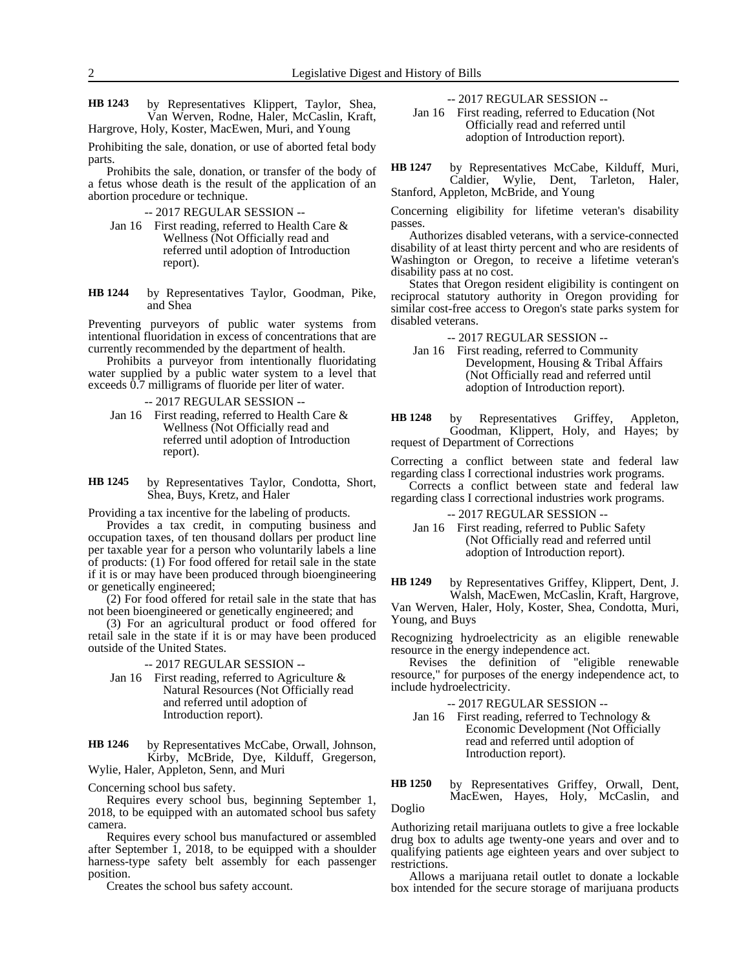by Representatives Klippert, Taylor, Shea, Van Werven, Rodne, Haler, McCaslin, Kraft, Hargrove, Holy, Koster, MacEwen, Muri, and Young **HB 1243**

Prohibiting the sale, donation, or use of aborted fetal body parts.

Prohibits the sale, donation, or transfer of the body of a fetus whose death is the result of the application of an abortion procedure or technique.

- -- 2017 REGULAR SESSION --
- Jan 16 First reading, referred to Health Care & Wellness (Not Officially read and referred until adoption of Introduction report).

by Representatives Taylor, Goodman, Pike, and Shea **HB 1244**

Preventing purveyors of public water systems from intentional fluoridation in excess of concentrations that are currently recommended by the department of health.

Prohibits a purveyor from intentionally fluoridating water supplied by a public water system to a level that exceeds 0.7 milligrams of fluoride per liter of water.

-- 2017 REGULAR SESSION --

Jan 16 First reading, referred to Health Care & Wellness (Not Officially read and referred until adoption of Introduction report).

by Representatives Taylor, Condotta, Short, Shea, Buys, Kretz, and Haler **HB 1245**

Providing a tax incentive for the labeling of products.

Provides a tax credit, in computing business and occupation taxes, of ten thousand dollars per product line per taxable year for a person who voluntarily labels a line of products: (1) For food offered for retail sale in the state if it is or may have been produced through bioengineering or genetically engineered;

(2) For food offered for retail sale in the state that has not been bioengineered or genetically engineered; and

(3) For an agricultural product or food offered for retail sale in the state if it is or may have been produced outside of the United States.

-- 2017 REGULAR SESSION --

Jan 16 First reading, referred to Agriculture & Natural Resources (Not Officially read and referred until adoption of Introduction report).

by Representatives McCabe, Orwall, Johnson, Kirby, McBride, Dye, Kilduff, Gregerson, Wylie, Haler, Appleton, Senn, and Muri **HB 1246**

Concerning school bus safety.

Requires every school bus, beginning September 1, 2018, to be equipped with an automated school bus safety camera.

Requires every school bus manufactured or assembled after September 1, 2018, to be equipped with a shoulder harness-type safety belt assembly for each passenger position.

Creates the school bus safety account.

-- 2017 REGULAR SESSION --

Jan 16 First reading, referred to Education (Not Officially read and referred until adoption of Introduction report).

by Representatives McCabe, Kilduff, Muri, Caldier, Wylie, Dent, Tarleton, Haler, Stanford, Appleton, McBride, and Young **HB 1247**

Concerning eligibility for lifetime veteran's disability passes.

Authorizes disabled veterans, with a service-connected disability of at least thirty percent and who are residents of Washington or Oregon, to receive a lifetime veteran's disability pass at no cost.

States that Oregon resident eligibility is contingent on reciprocal statutory authority in Oregon providing for similar cost-free access to Oregon's state parks system for disabled veterans.

-- 2017 REGULAR SESSION --

Jan 16 First reading, referred to Community Development, Housing & Tribal Affairs (Not Officially read and referred until adoption of Introduction report).

by Representatives Griffey, Appleton, Goodman, Klippert, Holy, and Hayes; by request of Department of Corrections **HB 1248**

Correcting a conflict between state and federal law regarding class I correctional industries work programs.

Corrects a conflict between state and federal law regarding class I correctional industries work programs.

-- 2017 REGULAR SESSION --

Jan 16 First reading, referred to Public Safety (Not Officially read and referred until adoption of Introduction report).

by Representatives Griffey, Klippert, Dent, J. Walsh, MacEwen, McCaslin, Kraft, Hargrove, **HB 1249**

Van Werven, Haler, Holy, Koster, Shea, Condotta, Muri, Young, and Buys

Recognizing hydroelectricity as an eligible renewable resource in the energy independence act.

Revises the definition of "eligible renewable resource," for purposes of the energy independence act, to include hydroelectricity.

-- 2017 REGULAR SESSION --

Jan 16 First reading, referred to Technology & Economic Development (Not Officially read and referred until adoption of Introduction report).

by Representatives Griffey, Orwall, Dent, MacEwen, Hayes, Holy, McCaslin, and Doglio **HB 1250**

Authorizing retail marijuana outlets to give a free lockable drug box to adults age twenty-one years and over and to qualifying patients age eighteen years and over subject to restrictions.

Allows a marijuana retail outlet to donate a lockable box intended for the secure storage of marijuana products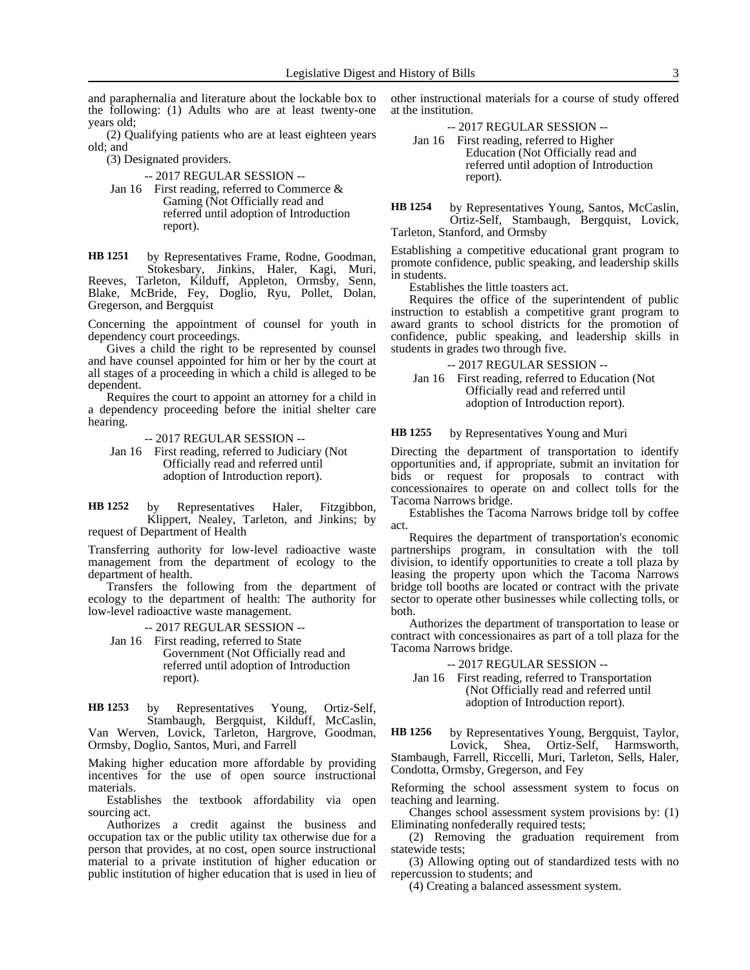and paraphernalia and literature about the lockable box to the following: (1) Adults who are at least twenty-one years old;

(2) Qualifying patients who are at least eighteen years old; and

(3) Designated providers.

-- 2017 REGULAR SESSION --

Jan 16 First reading, referred to Commerce & Gaming (Not Officially read and referred until adoption of Introduction report).

by Representatives Frame, Rodne, Goodman, Stokesbary, Jinkins, Haler, Kagi, Muri, Reeves, Tarleton, Kilduff, Appleton, Ormsby, Senn, Blake, McBride, Fey, Doglio, Ryu, Pollet, Dolan, Gregerson, and Bergquist **HB 1251**

Concerning the appointment of counsel for youth in dependency court proceedings.

Gives a child the right to be represented by counsel and have counsel appointed for him or her by the court at all stages of a proceeding in which a child is alleged to be dependent.

Requires the court to appoint an attorney for a child in a dependency proceeding before the initial shelter care hearing.

-- 2017 REGULAR SESSION --

Jan 16 First reading, referred to Judiciary (Not Officially read and referred until adoption of Introduction report).

by Representatives Haler, Fitzgibbon, Klippert, Nealey, Tarleton, and Jinkins; by request of Department of Health **HB 1252**

Transferring authority for low-level radioactive waste management from the department of ecology to the department of health.

Transfers the following from the department of ecology to the department of health: The authority for low-level radioactive waste management.

-- 2017 REGULAR SESSION -- Jan 16 First reading, referred to State

Government (Not Officially read and referred until adoption of Introduction report).

by Representatives Young, Ortiz-Self, Stambaugh, Bergquist, Kilduff, McCaslin, Van Werven, Lovick, Tarleton, Hargrove, Goodman, Ormsby, Doglio, Santos, Muri, and Farrell **HB 1253**

Making higher education more affordable by providing incentives for the use of open source instructional materials.

Establishes the textbook affordability via open sourcing act.

Authorizes a credit against the business and occupation tax or the public utility tax otherwise due for a person that provides, at no cost, open source instructional material to a private institution of higher education or public institution of higher education that is used in lieu of other instructional materials for a course of study offered at the institution.

-- 2017 REGULAR SESSION --

Jan 16 First reading, referred to Higher Education (Not Officially read and referred until adoption of Introduction report).

by Representatives Young, Santos, McCaslin, Ortiz-Self, Stambaugh, Bergquist, Lovick, Tarleton, Stanford, and Ormsby **HB 1254**

Establishing a competitive educational grant program to promote confidence, public speaking, and leadership skills in students.

Establishes the little toasters act.

Requires the office of the superintendent of public instruction to establish a competitive grant program to award grants to school districts for the promotion of confidence, public speaking, and leadership skills in students in grades two through five.

-- 2017 REGULAR SESSION --

Jan 16 First reading, referred to Education (Not Officially read and referred until adoption of Introduction report).

#### by Representatives Young and Muri **HB 1255**

Directing the department of transportation to identify opportunities and, if appropriate, submit an invitation for bids or request for proposals to contract with concessionaires to operate on and collect tolls for the Tacoma Narrows bridge.

Establishes the Tacoma Narrows bridge toll by coffee act.

Requires the department of transportation's economic partnerships program, in consultation with the toll division, to identify opportunities to create a toll plaza by leasing the property upon which the Tacoma Narrows bridge toll booths are located or contract with the private sector to operate other businesses while collecting tolls, or both.

Authorizes the department of transportation to lease or contract with concessionaires as part of a toll plaza for the Tacoma Narrows bridge.

-- 2017 REGULAR SESSION --

Jan 16 First reading, referred to Transportation (Not Officially read and referred until adoption of Introduction report).

by Representatives Young, Bergquist, Taylor, Lovick, Shea, Ortiz-Self, Harmsworth, Stambaugh, Farrell, Riccelli, Muri, Tarleton, Sells, Haler, **HB 1256**

Condotta, Ormsby, Gregerson, and Fey Reforming the school assessment system to focus on teaching and learning.

Changes school assessment system provisions by: (1) Eliminating nonfederally required tests;

(2) Removing the graduation requirement from statewide tests;

(3) Allowing opting out of standardized tests with no repercussion to students; and

(4) Creating a balanced assessment system.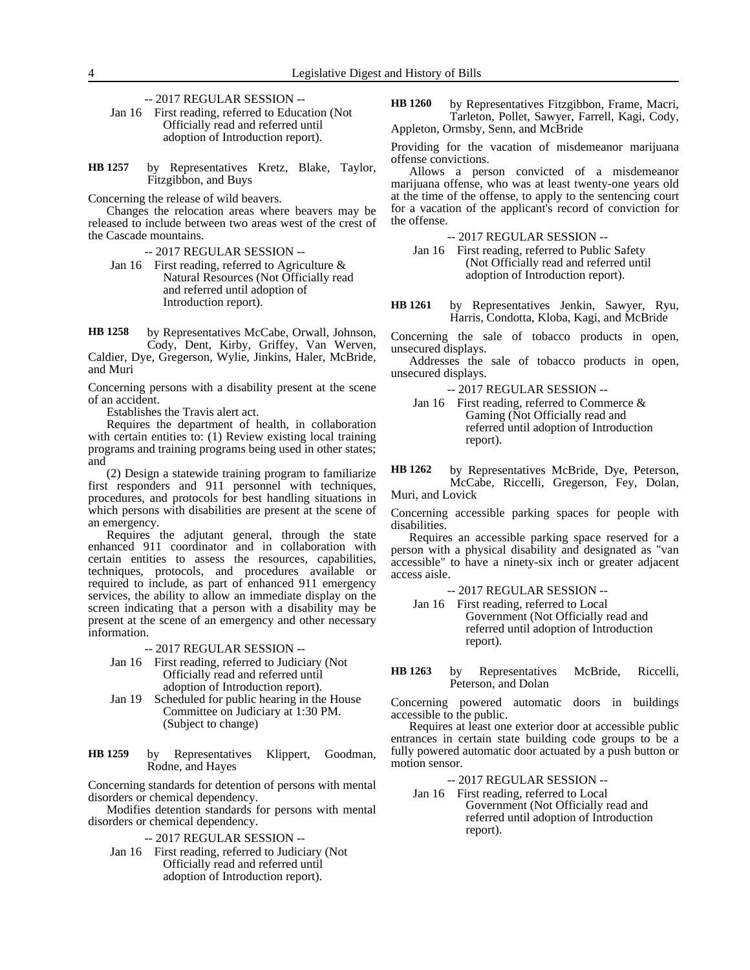-- 2017 REGULAR SESSION --

Jan 16 First reading, referred to Education (Not Officially read and referred until adoption of Introduction report).

by Representatives Kretz, Blake, Taylor, Fitzgibbon, and Buys **HB 1257**

Concerning the release of wild beavers.

Changes the relocation areas where beavers may be released to include between two areas west of the crest of the Cascade mountains.

-- 2017 REGULAR SESSION --

Jan 16 First reading, referred to Agriculture  $\&$ Natural Resources (Not Officially read and referred until adoption of Introduction report).

by Representatives McCabe, Orwall, Johnson, Cody, Dent, Kirby, Griffey, Van Werven, Caldier, Dye, Gregerson, Wylie, Jinkins, Haler, McBride, and Muri **HB 1258**

Concerning persons with a disability present at the scene of an accident.

Establishes the Travis alert act.

Requires the department of health, in collaboration with certain entities to: (1) Review existing local training programs and training programs being used in other states; and

(2) Design a statewide training program to familiarize first responders and 911 personnel with techniques, procedures, and protocols for best handling situations in which persons with disabilities are present at the scene of an emergency.

Requires the adjutant general, through the state enhanced 911 coordinator and in collaboration with certain entities to assess the resources, capabilities, techniques, protocols, and procedures available or required to include, as part of enhanced 911 emergency services, the ability to allow an immediate display on the screen indicating that a person with a disability may be present at the scene of an emergency and other necessary information.

-- 2017 REGULAR SESSION --

- Jan 16 First reading, referred to Judiciary (Not Officially read and referred until adoption of Introduction report).
- Jan 19 Scheduled for public hearing in the House Committee on Judiciary at 1:30 PM. (Subject to change)

by Representatives Klippert, Goodman, Rodne, and Hayes **HB 1259**

Concerning standards for detention of persons with mental disorders or chemical dependency.

Modifies detention standards for persons with mental disorders or chemical dependency.

-- 2017 REGULAR SESSION --

Jan 16 First reading, referred to Judiciary (Not Officially read and referred until adoption of Introduction report).

by Representatives Fitzgibbon, Frame, Macri, Tarleton, Pollet, Sawyer, Farrell, Kagi, Cody, Appleton, Ormsby, Senn, and McBride **HB 1260**

Providing for the vacation of misdemeanor marijuana offense convictions.

Allows a person convicted of a misdemeanor marijuana offense, who was at least twenty-one years old at the time of the offense, to apply to the sentencing court for a vacation of the applicant's record of conviction for the offense.

-- 2017 REGULAR SESSION --

- Jan 16 First reading, referred to Public Safety (Not Officially read and referred until adoption of Introduction report).
- by Representatives Jenkin, Sawyer, Ryu, Harris, Condotta, Kloba, Kagi, and McBride **HB 1261**

Concerning the sale of tobacco products in open, unsecured displays.

Addresses the sale of tobacco products in open, unsecured displays.

-- 2017 REGULAR SESSION --

Jan 16 First reading, referred to Commerce & Gaming (Not Officially read and referred until adoption of Introduction report).

by Representatives McBride, Dye, Peterson, McCabe, Riccelli, Gregerson, Fey, Dolan, Muri, and Lovick **HB 1262**

Concerning accessible parking spaces for people with disabilities.

Requires an accessible parking space reserved for a person with a physical disability and designated as "van accessible" to have a ninety-six inch or greater adjacent access aisle.

-- 2017 REGULAR SESSION --

- Jan 16 First reading, referred to Local Government (Not Officially read and referred until adoption of Introduction report).
- by Representatives McBride, Riccelli, Peterson, and Dolan **HB 1263**

Concerning powered automatic doors in buildings accessible to the public.

Requires at least one exterior door at accessible public entrances in certain state building code groups to be a fully powered automatic door actuated by a push button or motion sensor.

-- 2017 REGULAR SESSION --

Jan 16 First reading, referred to Local Government (Not Officially read and referred until adoption of Introduction report).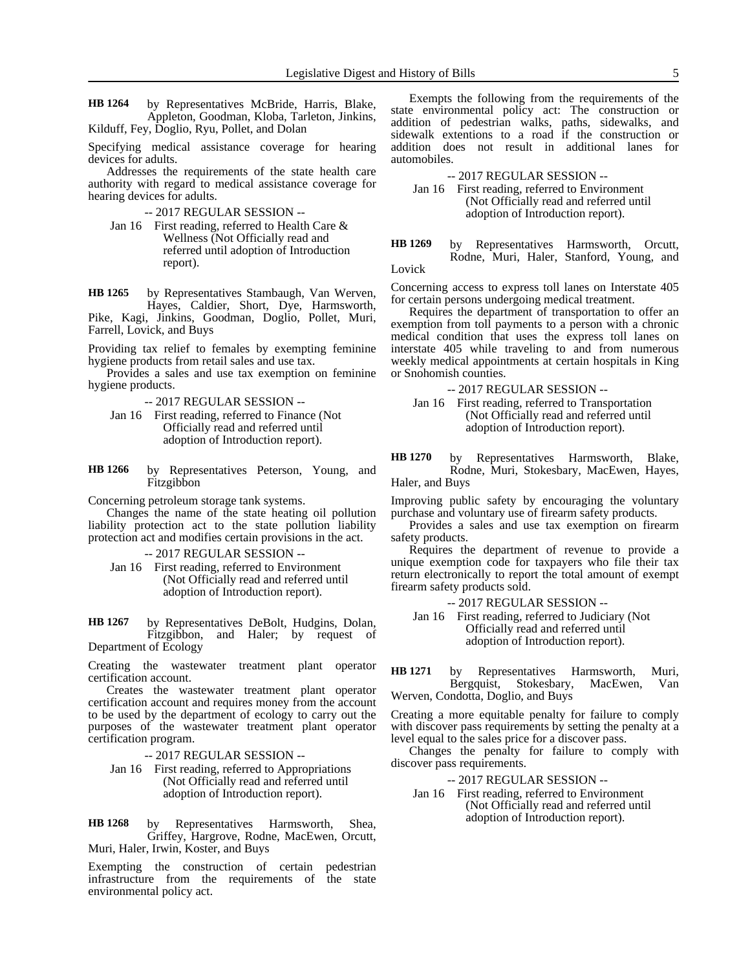by Representatives McBride, Harris, Blake, Appleton, Goodman, Kloba, Tarleton, Jinkins, Kilduff, Fey, Doglio, Ryu, Pollet, and Dolan **HB 1264**

Specifying medical assistance coverage for hearing devices for adults.

Addresses the requirements of the state health care authority with regard to medical assistance coverage for hearing devices for adults.

-- 2017 REGULAR SESSION --

Jan 16 First reading, referred to Health Care & Wellness (Not Officially read and referred until adoption of Introduction report).

by Representatives Stambaugh, Van Werven, Hayes, Caldier, Short, Dye, Harmsworth, Pike, Kagi, Jinkins, Goodman, Doglio, Pollet, Muri, Farrell, Lovick, and Buys **HB 1265**

Providing tax relief to females by exempting feminine hygiene products from retail sales and use tax.

Provides a sales and use tax exemption on feminine hygiene products.

-- 2017 REGULAR SESSION --

- Jan 16 First reading, referred to Finance (Not Officially read and referred until adoption of Introduction report).
- by Representatives Peterson, Young, and Fitzgibbon **HB 1266**

Concerning petroleum storage tank systems.

Changes the name of the state heating oil pollution liability protection act to the state pollution liability protection act and modifies certain provisions in the act.

-- 2017 REGULAR SESSION --

Jan 16 First reading, referred to Environment (Not Officially read and referred until adoption of Introduction report).

by Representatives DeBolt, Hudgins, Dolan, Fitzgibbon, and Haler; by request of Department of Ecology **HB 1267**

Creating the wastewater treatment plant operator certification account.

Creates the wastewater treatment plant operator certification account and requires money from the account to be used by the department of ecology to carry out the purposes of the wastewater treatment plant operator certification program.

-- 2017 REGULAR SESSION --

Jan 16 First reading, referred to Appropriations (Not Officially read and referred until adoption of Introduction report).

by Representatives Harmsworth, Shea, Griffey, Hargrove, Rodne, MacEwen, Orcutt, Muri, Haler, Irwin, Koster, and Buys **HB 1268**

Exempting the construction of certain pedestrian infrastructure from the requirements of the state environmental policy act.

Exempts the following from the requirements of the state environmental policy act: The construction or addition of pedestrian walks, paths, sidewalks, and sidewalk extentions to a road if the construction or addition does not result in additional lanes for automobiles.

-- 2017 REGULAR SESSION --

Jan 16 First reading, referred to Environment (Not Officially read and referred until adoption of Introduction report).

by Representatives Harmsworth, Orcutt, Rodne, Muri, Haler, Stanford, Young, and Lovick **HB 1269**

Concerning access to express toll lanes on Interstate 405 for certain persons undergoing medical treatment.

Requires the department of transportation to offer an exemption from toll payments to a person with a chronic medical condition that uses the express toll lanes on interstate 405 while traveling to and from numerous weekly medical appointments at certain hospitals in King or Snohomish counties.

-- 2017 REGULAR SESSION --

Jan 16 First reading, referred to Transportation (Not Officially read and referred until adoption of Introduction report).

by Representatives Harmsworth, Blake, Rodne, Muri, Stokesbary, MacEwen, Hayes, **HB 1270**

Haler, and Buys

Improving public safety by encouraging the voluntary purchase and voluntary use of firearm safety products.

Provides a sales and use tax exemption on firearm safety products.

Requires the department of revenue to provide a unique exemption code for taxpayers who file their tax return electronically to report the total amount of exempt firearm safety products sold.

-- 2017 REGULAR SESSION --

Jan 16 First reading, referred to Judiciary (Not Officially read and referred until adoption of Introduction report).

by Representatives Harmsworth, Muri, Bergquist, Stokesbary, MacEwen, Van Werven, Condotta, Doglio, and Buys **HB 1271**

Creating a more equitable penalty for failure to comply with discover pass requirements by setting the penalty at a level equal to the sales price for a discover pass.

Changes the penalty for failure to comply with discover pass requirements.

-- 2017 REGULAR SESSION --

Jan 16 First reading, referred to Environment (Not Officially read and referred until adoption of Introduction report).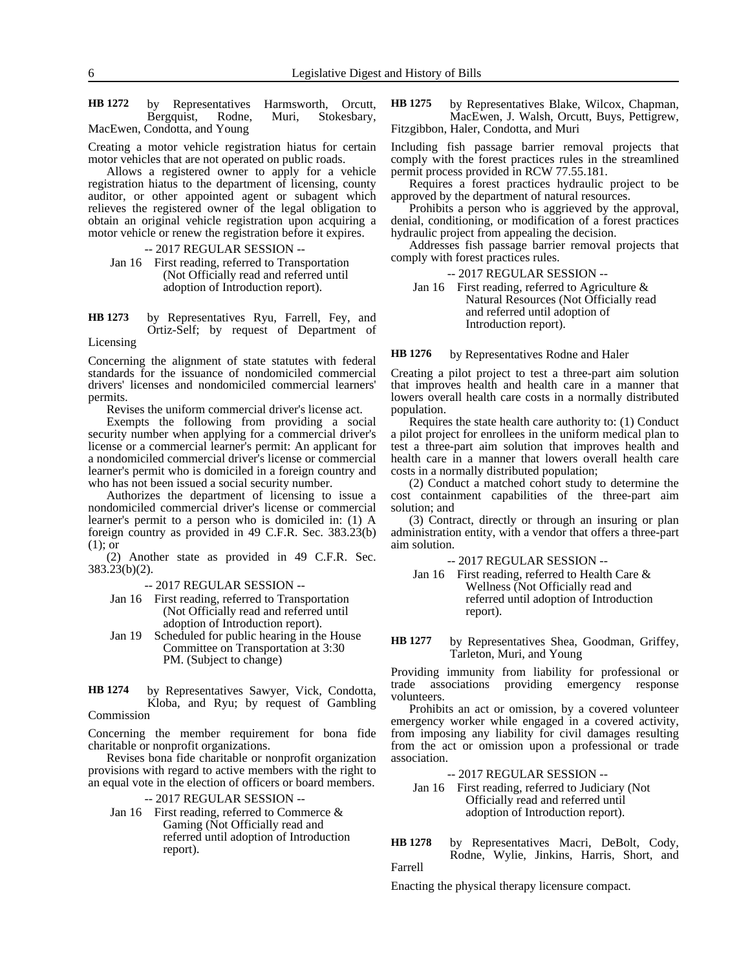by Representatives Harmsworth, Orcutt, Bergquist, Rodne, Muri, Stokesbary, MacEwen, Condotta, and Young **HB 1272**

Creating a motor vehicle registration hiatus for certain motor vehicles that are not operated on public roads.

Allows a registered owner to apply for a vehicle registration hiatus to the department of licensing, county auditor, or other appointed agent or subagent which relieves the registered owner of the legal obligation to obtain an original vehicle registration upon acquiring a motor vehicle or renew the registration before it expires.

- -- 2017 REGULAR SESSION --
- Jan 16 First reading, referred to Transportation (Not Officially read and referred until adoption of Introduction report).

by Representatives Ryu, Farrell, Fey, and Ortiz-Self; by request of Department of **HB 1273**

Licensing

Concerning the alignment of state statutes with federal standards for the issuance of nondomiciled commercial drivers' licenses and nondomiciled commercial learners' permits.

Revises the uniform commercial driver's license act.

Exempts the following from providing a social security number when applying for a commercial driver's license or a commercial learner's permit: An applicant for a nondomiciled commercial driver's license or commercial learner's permit who is domiciled in a foreign country and who has not been issued a social security number.

Authorizes the department of licensing to issue a nondomiciled commercial driver's license or commercial learner's permit to a person who is domiciled in: (1) A foreign country as provided in 49 C.F.R. Sec. 383.23(b) (1); or

(2) Another state as provided in 49 C.F.R. Sec. 383.23(b)(2).

-- 2017 REGULAR SESSION --

- Jan 16 First reading, referred to Transportation (Not Officially read and referred until adoption of Introduction report).
- Jan 19 Scheduled for public hearing in the House Committee on Transportation at 3:30 PM. (Subject to change)
- by Representatives Sawyer, Vick, Condotta, Kloba, and Ryu; by request of Gambling Commission **HB 1274**

Concerning the member requirement for bona fide charitable or nonprofit organizations.

Revises bona fide charitable or nonprofit organization provisions with regard to active members with the right to an equal vote in the election of officers or board members.

## -- 2017 REGULAR SESSION --

Jan 16 First reading, referred to Commerce & Gaming (Not Officially read and referred until adoption of Introduction report).

by Representatives Blake, Wilcox, Chapman, MacEwen, J. Walsh, Orcutt, Buys, Pettigrew, Fitzgibbon, Haler, Condotta, and Muri **HB 1275**

Including fish passage barrier removal projects that comply with the forest practices rules in the streamlined permit process provided in RCW 77.55.181.

Requires a forest practices hydraulic project to be approved by the department of natural resources.

Prohibits a person who is aggrieved by the approval, denial, conditioning, or modification of a forest practices hydraulic project from appealing the decision.

Addresses fish passage barrier removal projects that comply with forest practices rules.

### -- 2017 REGULAR SESSION --

Jan 16 First reading, referred to Agriculture & Natural Resources (Not Officially read and referred until adoption of Introduction report).

#### by Representatives Rodne and Haler **HB 1276**

Creating a pilot project to test a three-part aim solution that improves health and health care in a manner that lowers overall health care costs in a normally distributed population.

Requires the state health care authority to: (1) Conduct a pilot project for enrollees in the uniform medical plan to test a three-part aim solution that improves health and health care in a manner that lowers overall health care costs in a normally distributed population;

(2) Conduct a matched cohort study to determine the cost containment capabilities of the three-part aim solution; and

(3) Contract, directly or through an insuring or plan administration entity, with a vendor that offers a three-part aim solution.

-- 2017 REGULAR SESSION --

Jan 16 First reading, referred to Health Care & Wellness (Not Officially read and referred until adoption of Introduction report).

by Representatives Shea, Goodman, Griffey, Tarleton, Muri, and Young **HB 1277**

Providing immunity from liability for professional or trade associations providing emergency response volunteers.

Prohibits an act or omission, by a covered volunteer emergency worker while engaged in a covered activity, from imposing any liability for civil damages resulting from the act or omission upon a professional or trade association.

-- 2017 REGULAR SESSION --

# Jan 16 First reading, referred to Judiciary (Not Officially read and referred until adoption of Introduction report).

by Representatives Macri, DeBolt, Cody, Rodne, Wylie, Jinkins, Harris, Short, and Farrell **HB 1278**

Enacting the physical therapy licensure compact.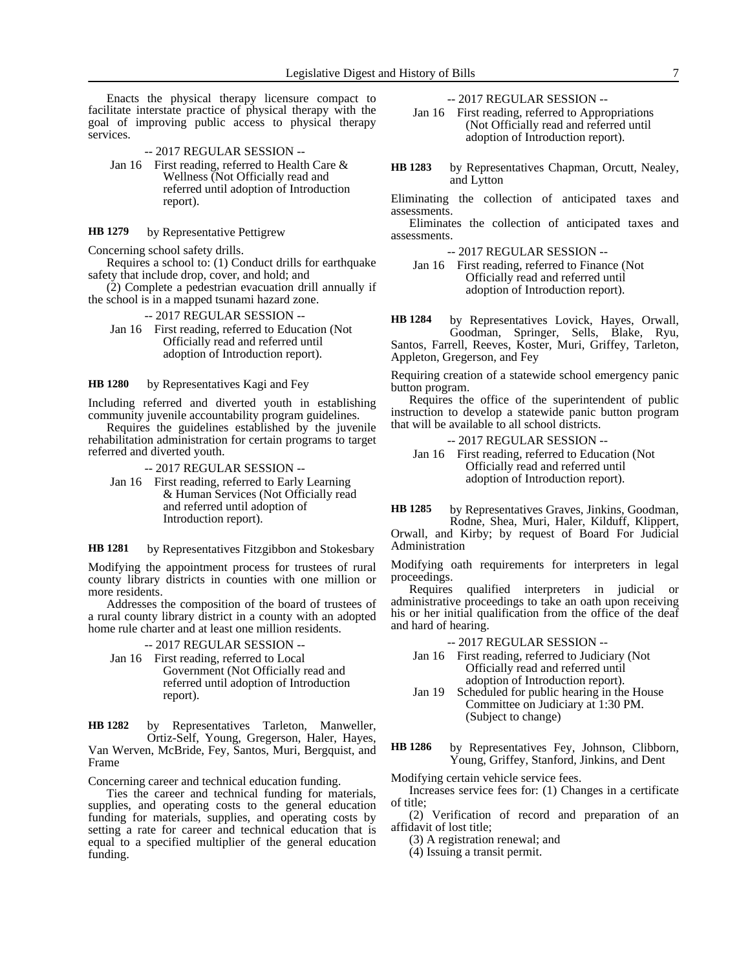Enacts the physical therapy licensure compact to facilitate interstate practice of physical therapy with the goal of improving public access to physical therapy services.

-- 2017 REGULAR SESSION --

Jan 16 First reading, referred to Health Care & Wellness (Not Officially read and referred until adoption of Introduction report).

by Representative Pettigrew **HB 1279**

Concerning school safety drills.

Requires a school to: (1) Conduct drills for earthquake safety that include drop, cover, and hold; and

(2) Complete a pedestrian evacuation drill annually if the school is in a mapped tsunami hazard zone.

-- 2017 REGULAR SESSION --

Jan 16 First reading, referred to Education (Not Officially read and referred until adoption of Introduction report).

by Representatives Kagi and Fey **HB 1280**

Including referred and diverted youth in establishing community juvenile accountability program guidelines.

Requires the guidelines established by the juvenile rehabilitation administration for certain programs to target referred and diverted youth.

-- 2017 REGULAR SESSION --

Jan 16 First reading, referred to Early Learning & Human Services (Not Officially read and referred until adoption of Introduction report).

by Representatives Fitzgibbon and Stokesbary **HB 1281**

Modifying the appointment process for trustees of rural county library districts in counties with one million or more residents.

Addresses the composition of the board of trustees of a rural county library district in a county with an adopted home rule charter and at least one million residents.

-- 2017 REGULAR SESSION --

Jan 16 First reading, referred to Local Government (Not Officially read and referred until adoption of Introduction report).

by Representatives Tarleton, Manweller, **HB 1282**

Ortiz-Self, Young, Gregerson, Haler, Hayes, Van Werven, McBride, Fey, Santos, Muri, Bergquist, and Frame

Concerning career and technical education funding.

Ties the career and technical funding for materials, supplies, and operating costs to the general education funding for materials, supplies, and operating costs by setting a rate for career and technical education that is equal to a specified multiplier of the general education funding.

-- 2017 REGULAR SESSION --

Jan 16 First reading, referred to Appropriations (Not Officially read and referred until adoption of Introduction report).

by Representatives Chapman, Orcutt, Nealey, and Lytton **HB 1283**

Eliminating the collection of anticipated taxes and assessments.

Eliminates the collection of anticipated taxes and assessments.

-- 2017 REGULAR SESSION --

Jan 16 First reading, referred to Finance (Not Officially read and referred until adoption of Introduction report).

by Representatives Lovick, Hayes, Orwall, Goodman, Springer, Sells, Blake, Ryu, Santos, Farrell, Reeves, Koster, Muri, Griffey, Tarleton, **HB 1284**

Appleton, Gregerson, and Fey Requiring creation of a statewide school emergency panic

button program. Requires the office of the superintendent of public instruction to develop a statewide panic button program that will be available to all school districts.

-- 2017 REGULAR SESSION --

Jan 16 First reading, referred to Education (Not Officially read and referred until adoption of Introduction report).

by Representatives Graves, Jinkins, Goodman, Rodne, Shea, Muri, Haler, Kilduff, Klippert, **HB 1285**

Orwall, and Kirby; by request of Board For Judicial Administration

Modifying oath requirements for interpreters in legal proceedings.

Requires qualified interpreters in judicial or administrative proceedings to take an oath upon receiving his or her initial qualification from the office of the deaf and hard of hearing.

- -- 2017 REGULAR SESSION --
- Jan 16 First reading, referred to Judiciary (Not Officially read and referred until adoption of Introduction report).
- Jan 19 Scheduled for public hearing in the House Committee on Judiciary at 1:30 PM. (Subject to change)
- by Representatives Fey, Johnson, Clibborn, Young, Griffey, Stanford, Jinkins, and Dent **HB 1286**

Modifying certain vehicle service fees.

Increases service fees for: (1) Changes in a certificate of title;

(2) Verification of record and preparation of an affidavit of lost title;

(3) A registration renewal; and

(4) Issuing a transit permit.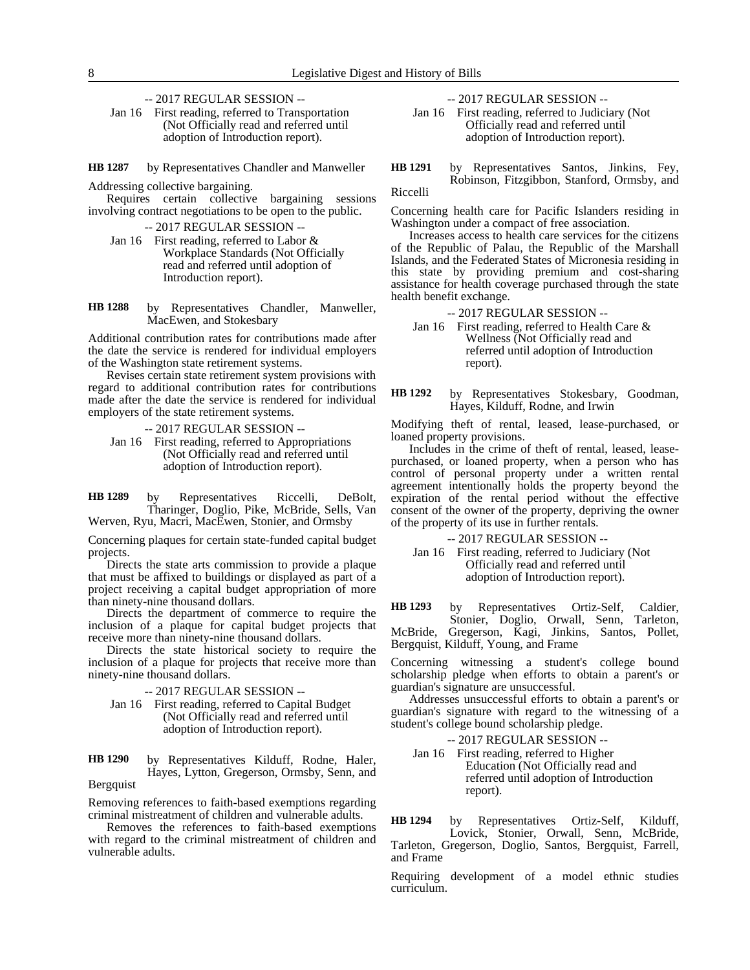-- 2017 REGULAR SESSION --

Jan 16 First reading, referred to Transportation (Not Officially read and referred until adoption of Introduction report).

by Representatives Chandler and Manweller **HB 1287**

Addressing collective bargaining.

Requires certain collective bargaining sessions involving contract negotiations to be open to the public.

-- 2017 REGULAR SESSION --

- Jan 16 First reading, referred to Labor & Workplace Standards (Not Officially read and referred until adoption of Introduction report).
- by Representatives Chandler, Manweller, MacEwen, and Stokesbary **HB 1288**

Additional contribution rates for contributions made after the date the service is rendered for individual employers of the Washington state retirement systems.

Revises certain state retirement system provisions with regard to additional contribution rates for contributions made after the date the service is rendered for individual employers of the state retirement systems.

-- 2017 REGULAR SESSION --

Jan 16 First reading, referred to Appropriations (Not Officially read and referred until adoption of Introduction report).

by Representatives Riccelli, DeBolt, Tharinger, Doglio, Pike, McBride, Sells, Van Werven, Ryu, Macri, MacEwen, Stonier, and Ormsby **HB 1289**

Concerning plaques for certain state-funded capital budget projects.

Directs the state arts commission to provide a plaque that must be affixed to buildings or displayed as part of a project receiving a capital budget appropriation of more than ninety-nine thousand dollars.

Directs the department of commerce to require the inclusion of a plaque for capital budget projects that receive more than ninety-nine thousand dollars.

Directs the state historical society to require the inclusion of a plaque for projects that receive more than ninety-nine thousand dollars.

-- 2017 REGULAR SESSION --

Jan 16 First reading, referred to Capital Budget (Not Officially read and referred until adoption of Introduction report).

by Representatives Kilduff, Rodne, Haler, Hayes, Lytton, Gregerson, Ormsby, Senn, and **HB 1290**

Bergquist

Removing references to faith-based exemptions regarding criminal mistreatment of children and vulnerable adults.

Removes the references to faith-based exemptions with regard to the criminal mistreatment of children and vulnerable adults.

-- 2017 REGULAR SESSION --

Jan 16 First reading, referred to Judiciary (Not Officially read and referred until adoption of Introduction report).

by Representatives Santos, Jinkins, Fey, Robinson, Fitzgibbon, Stanford, Ormsby, and **HB 1291**

Riccelli

Concerning health care for Pacific Islanders residing in Washington under a compact of free association.

Increases access to health care services for the citizens of the Republic of Palau, the Republic of the Marshall Islands, and the Federated States of Micronesia residing in this state by providing premium and cost-sharing assistance for health coverage purchased through the state health benefit exchange.

- -- 2017 REGULAR SESSION --
- Jan 16 First reading, referred to Health Care & Wellness (Not Officially read and referred until adoption of Introduction report).
- by Representatives Stokesbary, Goodman, Hayes, Kilduff, Rodne, and Irwin **HB 1292**

Modifying theft of rental, leased, lease-purchased, or loaned property provisions.

Includes in the crime of theft of rental, leased, leasepurchased, or loaned property, when a person who has control of personal property under a written rental agreement intentionally holds the property beyond the expiration of the rental period without the effective consent of the owner of the property, depriving the owner of the property of its use in further rentals.

- -- 2017 REGULAR SESSION --
- Jan 16 First reading, referred to Judiciary (Not Officially read and referred until adoption of Introduction report).

by Representatives Ortiz-Self, Caldier, Stonier, Doglio, Orwall, Senn, Tarleton, McBride, Gregerson, Kagi, Jinkins, Santos, Pollet, Bergquist, Kilduff, Young, and Frame **HB 1293**

Concerning witnessing a student's college bound scholarship pledge when efforts to obtain a parent's or guardian's signature are unsuccessful.

Addresses unsuccessful efforts to obtain a parent's or guardian's signature with regard to the witnessing of a student's college bound scholarship pledge.

-- 2017 REGULAR SESSION --

Jan 16 First reading, referred to Higher Education (Not Officially read and referred until adoption of Introduction report).

by Representatives Ortiz-Self, Kilduff, Lovick, Stonier, Orwall, Senn, McBride, Tarleton, Gregerson, Doglio, Santos, Bergquist, Farrell, and Frame **HB 1294**

Requiring development of a model ethnic studies curriculum.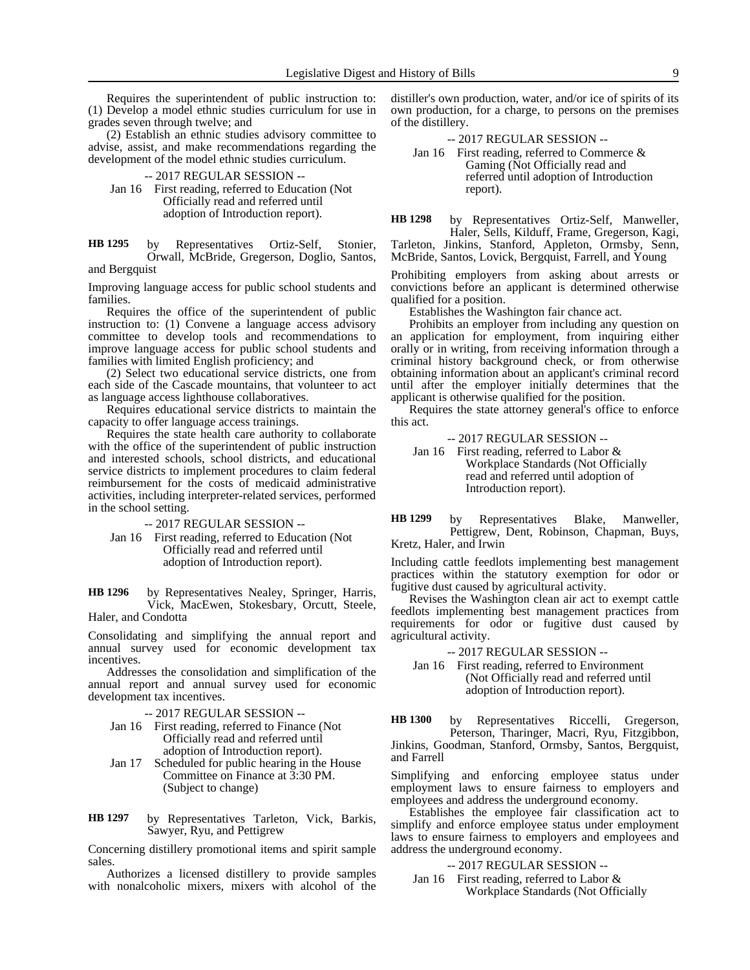Requires the superintendent of public instruction to: (1) Develop a model ethnic studies curriculum for use in grades seven through twelve; and

(2) Establish an ethnic studies advisory committee to advise, assist, and make recommendations regarding the development of the model ethnic studies curriculum.

-- 2017 REGULAR SESSION --

Jan 16 First reading, referred to Education (Not Officially read and referred until adoption of Introduction report).

by Representatives Ortiz-Self, Stonier, Orwall, McBride, Gregerson, Doglio, Santos, and Bergquist **HB 1295**

Improving language access for public school students and families.

Requires the office of the superintendent of public instruction to: (1) Convene a language access advisory committee to develop tools and recommendations to improve language access for public school students and families with limited English proficiency; and

(2) Select two educational service districts, one from each side of the Cascade mountains, that volunteer to act as language access lighthouse collaboratives.

Requires educational service districts to maintain the capacity to offer language access trainings.

Requires the state health care authority to collaborate with the office of the superintendent of public instruction and interested schools, school districts, and educational service districts to implement procedures to claim federal reimbursement for the costs of medicaid administrative activities, including interpreter-related services, performed in the school setting.

-- 2017 REGULAR SESSION --

Jan 16 First reading, referred to Education (Not Officially read and referred until adoption of Introduction report).

by Representatives Nealey, Springer, Harris, Vick, MacEwen, Stokesbary, Orcutt, Steele, Haler, and Condotta **HB 1296**

Consolidating and simplifying the annual report and annual survey used for economic development tax incentives.

Addresses the consolidation and simplification of the annual report and annual survey used for economic development tax incentives.

-- 2017 REGULAR SESSION --

- Jan 16 First reading, referred to Finance (Not Officially read and referred until adoption of Introduction report).
- Jan 17 Scheduled for public hearing in the House Committee on Finance at 3:30 PM. (Subject to change)

by Representatives Tarleton, Vick, Barkis, Sawyer, Ryu, and Pettigrew **HB 1297**

Concerning distillery promotional items and spirit sample sales.

Authorizes a licensed distillery to provide samples with nonalcoholic mixers, mixers with alcohol of the distiller's own production, water, and/or ice of spirits of its own production, for a charge, to persons on the premises of the distillery.

-- 2017 REGULAR SESSION --

Jan 16 First reading, referred to Commerce & Gaming (Not Officially read and referred until adoption of Introduction report).

by Representatives Ortiz-Self, Manweller, Haler, Sells, Kilduff, Frame, Gregerson, Kagi, Tarleton, Jinkins, Stanford, Appleton, Ormsby, Senn, McBride, Santos, Lovick, Bergquist, Farrell, and Young **HB 1298**

Prohibiting employers from asking about arrests or convictions before an applicant is determined otherwise qualified for a position.

Establishes the Washington fair chance act.

Prohibits an employer from including any question on an application for employment, from inquiring either orally or in writing, from receiving information through a criminal history background check, or from otherwise obtaining information about an applicant's criminal record until after the employer initially determines that the applicant is otherwise qualified for the position.

Requires the state attorney general's office to enforce this act.

-- 2017 REGULAR SESSION --

Jan 16 First reading, referred to Labor & Workplace Standards (Not Officially read and referred until adoption of Introduction report).

by Representatives Blake, Manweller, Pettigrew, Dent, Robinson, Chapman, Buys, Kretz, Haler, and Irwin **HB 1299**

Including cattle feedlots implementing best management practices within the statutory exemption for odor or fugitive dust caused by agricultural activity.

Revises the Washington clean air act to exempt cattle feedlots implementing best management practices from requirements for odor or fugitive dust caused by agricultural activity.

-- 2017 REGULAR SESSION --

Jan 16 First reading, referred to Environment (Not Officially read and referred until adoption of Introduction report).

by Representatives Riccelli, Gregerson, Peterson, Tharinger, Macri, Ryu, Fitzgibbon, Jinkins, Goodman, Stanford, Ormsby, Santos, Bergquist, and Farrell **HB 1300**

Simplifying and enforcing employee status under employment laws to ensure fairness to employers and employees and address the underground economy.

Establishes the employee fair classification act to simplify and enforce employee status under employment laws to ensure fairness to employers and employees and address the underground economy.

-- 2017 REGULAR SESSION --

Jan 16 First reading, referred to Labor & Workplace Standards (Not Officially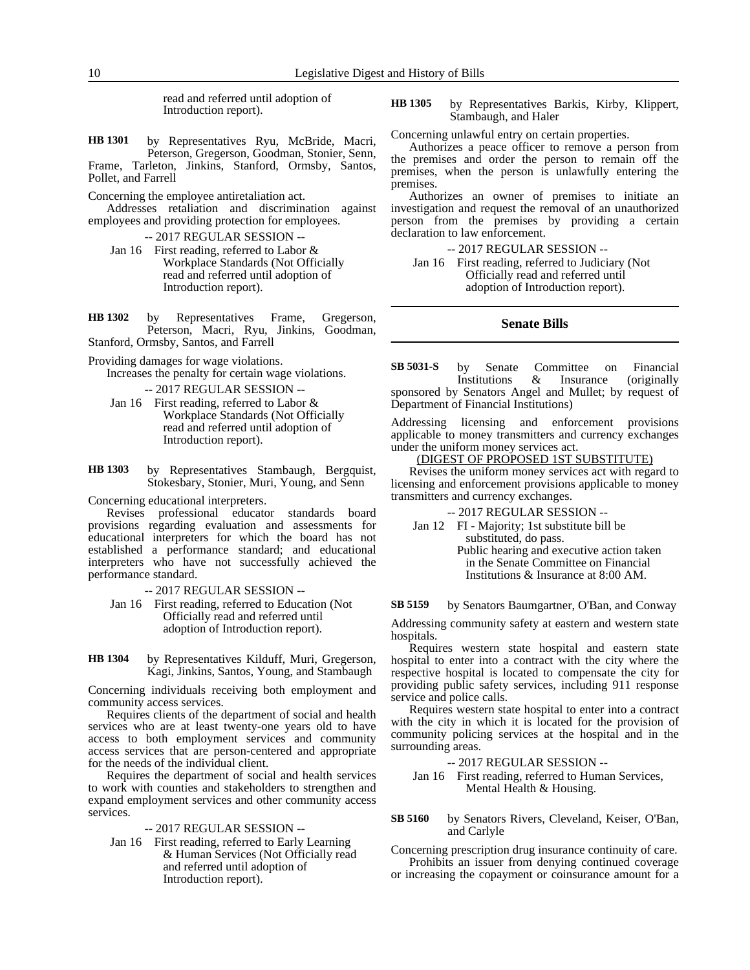read and referred until adoption of Introduction report).

by Representatives Ryu, McBride, Macri, Peterson, Gregerson, Goodman, Stonier, Senn, Frame, Tarleton, Jinkins, Stanford, Ormsby, Santos, Pollet, and Farrell **HB 1301**

Concerning the employee antiretaliation act.

Addresses retaliation and discrimination against employees and providing protection for employees.

-- 2017 REGULAR SESSION --

- Jan 16 First reading, referred to Labor & Workplace Standards (Not Officially read and referred until adoption of Introduction report).
- by Representatives Frame, Gregerson, Peterson, Macri, Ryu, Jinkins, Goodman, Stanford, Ormsby, Santos, and Farrell **HB 1302**

Providing damages for wage violations.

Increases the penalty for certain wage violations.

-- 2017 REGULAR SESSION --

- Jan 16 First reading, referred to Labor & Workplace Standards (Not Officially read and referred until adoption of Introduction report).
- by Representatives Stambaugh, Bergquist, Stokesbary, Stonier, Muri, Young, and Senn **HB 1303**

Concerning educational interpreters.

Revises professional educator standards board provisions regarding evaluation and assessments for educational interpreters for which the board has not established a performance standard; and educational interpreters who have not successfully achieved the performance standard.

-- 2017 REGULAR SESSION --

- Jan 16 First reading, referred to Education (Not Officially read and referred until adoption of Introduction report).
- by Representatives Kilduff, Muri, Gregerson, Kagi, Jinkins, Santos, Young, and Stambaugh **HB 1304**

Concerning individuals receiving both employment and community access services.

Requires clients of the department of social and health services who are at least twenty-one years old to have access to both employment services and community access services that are person-centered and appropriate for the needs of the individual client.

Requires the department of social and health services to work with counties and stakeholders to strengthen and expand employment services and other community access services.

-- 2017 REGULAR SESSION --

Jan 16 First reading, referred to Early Learning & Human Services (Not Officially read and referred until adoption of Introduction report).

by Representatives Barkis, Kirby, Klippert, Stambaugh, and Haler **HB 1305**

Concerning unlawful entry on certain properties.

Authorizes a peace officer to remove a person from the premises and order the person to remain off the premises, when the person is unlawfully entering the premises.

Authorizes an owner of premises to initiate an investigation and request the removal of an unauthorized person from the premises by providing a certain declaration to law enforcement.

-- 2017 REGULAR SESSION --

Jan 16 First reading, referred to Judiciary (Not Officially read and referred until adoption of Introduction report).

# **Senate Bills**

by Senate Committee on Financial Institutions & Insurance (originally sponsored by Senators Angel and Mullet; by request of Department of Financial Institutions) **SB 5031-S**

Addressing licensing and enforcement provisions applicable to money transmitters and currency exchanges under the uniform money services act.

# (DIGEST OF PROPOSED 1ST SUBSTITUTE)

Revises the uniform money services act with regard to licensing and enforcement provisions applicable to money transmitters and currency exchanges.

-- 2017 REGULAR SESSION --

Jan 12 FI - Majority; 1st substitute bill be substituted, do pass. Public hearing and executive action taken in the Senate Committee on Financial Institutions & Insurance at 8:00 AM.

by Senators Baumgartner, O'Ban, and Conway **SB 5159**

Addressing community safety at eastern and western state hospitals.

Requires western state hospital and eastern state hospital to enter into a contract with the city where the respective hospital is located to compensate the city for providing public safety services, including 911 response service and police calls.

Requires western state hospital to enter into a contract with the city in which it is located for the provision of community policing services at the hospital and in the surrounding areas.

-- 2017 REGULAR SESSION --

Jan 16 First reading, referred to Human Services, Mental Health & Housing.

by Senators Rivers, Cleveland, Keiser, O'Ban, and Carlyle **SB 5160**

Concerning prescription drug insurance continuity of care. Prohibits an issuer from denying continued coverage or increasing the copayment or coinsurance amount for a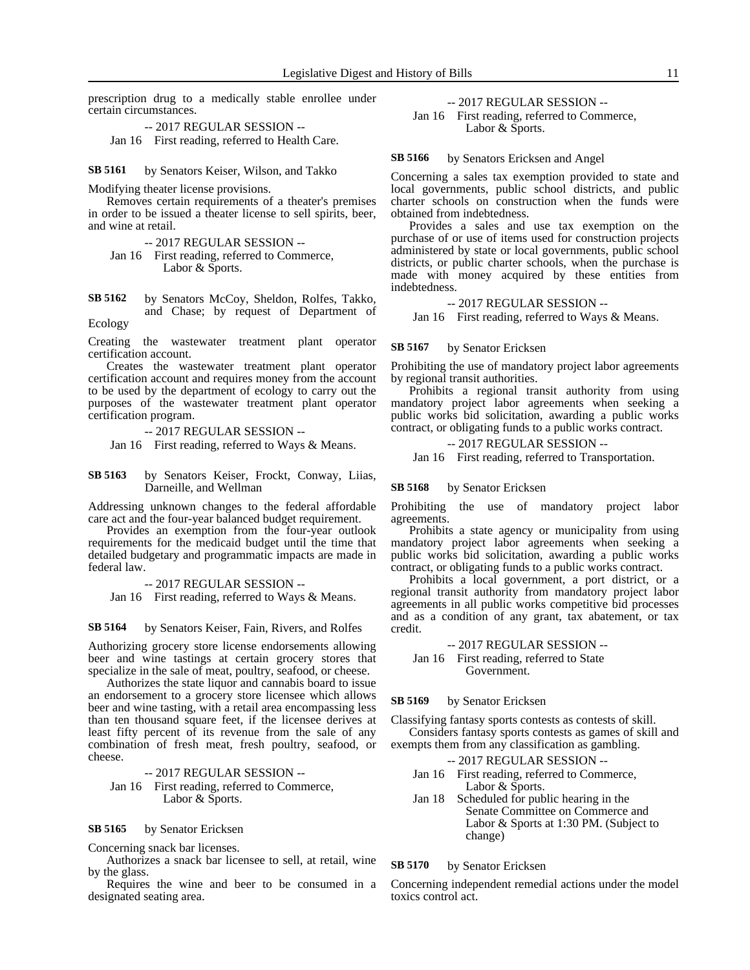prescription drug to a medically stable enrollee under certain circumstances.

-- 2017 REGULAR SESSION --

Jan 16 First reading, referred to Health Care.

#### by Senators Keiser, Wilson, and Takko **SB 5161**

Modifying theater license provisions.

Removes certain requirements of a theater's premises in order to be issued a theater license to sell spirits, beer, and wine at retail.

- -- 2017 REGULAR SESSION --
- Jan 16 First reading, referred to Commerce, Labor & Sports.

by Senators McCoy, Sheldon, Rolfes, Takko, and Chase; by request of Department of Ecology **SB 5162**

Creating the wastewater treatment plant operator certification account.

Creates the wastewater treatment plant operator certification account and requires money from the account to be used by the department of ecology to carry out the purposes of the wastewater treatment plant operator certification program.

-- 2017 REGULAR SESSION --

Jan 16 First reading, referred to Ways & Means.

by Senators Keiser, Frockt, Conway, Liias, Darneille, and Wellman **SB 5163**

Addressing unknown changes to the federal affordable care act and the four-year balanced budget requirement.

Provides an exemption from the four-year outlook requirements for the medicaid budget until the time that detailed budgetary and programmatic impacts are made in federal law.

-- 2017 REGULAR SESSION --

Jan 16 First reading, referred to Ways & Means.

by Senators Keiser, Fain, Rivers, and Rolfes **SB 5164**

Authorizing grocery store license endorsements allowing beer and wine tastings at certain grocery stores that specialize in the sale of meat, poultry, seafood, or cheese.

Authorizes the state liquor and cannabis board to issue an endorsement to a grocery store licensee which allows beer and wine tasting, with a retail area encompassing less than ten thousand square feet, if the licensee derives at least fifty percent of its revenue from the sale of any combination of fresh meat, fresh poultry, seafood, or cheese.

-- 2017 REGULAR SESSION -- Jan 16 First reading, referred to Commerce, Labor & Sports.

#### by Senator Ericksen **SB 5165**

Concerning snack bar licenses.

Authorizes a snack bar licensee to sell, at retail, wine by the glass.

Requires the wine and beer to be consumed in a designated seating area.

# -- 2017 REGULAR SESSION --

Jan 16 First reading, referred to Commerce, Labor & Sports.

#### by Senators Ericksen and Angel **SB 5166**

Concerning a sales tax exemption provided to state and local governments, public school districts, and public charter schools on construction when the funds were obtained from indebtedness.

Provides a sales and use tax exemption on the purchase of or use of items used for construction projects administered by state or local governments, public school districts, or public charter schools, when the purchase is made with money acquired by these entities from indebtedness.

## -- 2017 REGULAR SESSION --

Jan 16 First reading, referred to Ways & Means.

#### by Senator Ericksen **SB 5167**

Prohibiting the use of mandatory project labor agreements by regional transit authorities.

Prohibits a regional transit authority from using mandatory project labor agreements when seeking a public works bid solicitation, awarding a public works contract, or obligating funds to a public works contract.

-- 2017 REGULAR SESSION --

Jan 16 First reading, referred to Transportation.

#### by Senator Ericksen **SB 5168**

Prohibiting the use of mandatory project labor agreements.

Prohibits a state agency or municipality from using mandatory project labor agreements when seeking a public works bid solicitation, awarding a public works contract, or obligating funds to a public works contract.

Prohibits a local government, a port district, or a regional transit authority from mandatory project labor agreements in all public works competitive bid processes and as a condition of any grant, tax abatement, or tax credit.

### -- 2017 REGULAR SESSION --

Jan 16 First reading, referred to State Government.

#### by Senator Ericksen **SB 5169**

Classifying fantasy sports contests as contests of skill.

Considers fantasy sports contests as games of skill and exempts them from any classification as gambling.

- -- 2017 REGULAR SESSION --
- Jan 16 First reading, referred to Commerce, Labor & Sports.
- Jan 18 Scheduled for public hearing in the Senate Committee on Commerce and Labor & Sports at 1:30 PM. (Subject to change)

#### by Senator Ericksen **SB 5170**

Concerning independent remedial actions under the model toxics control act.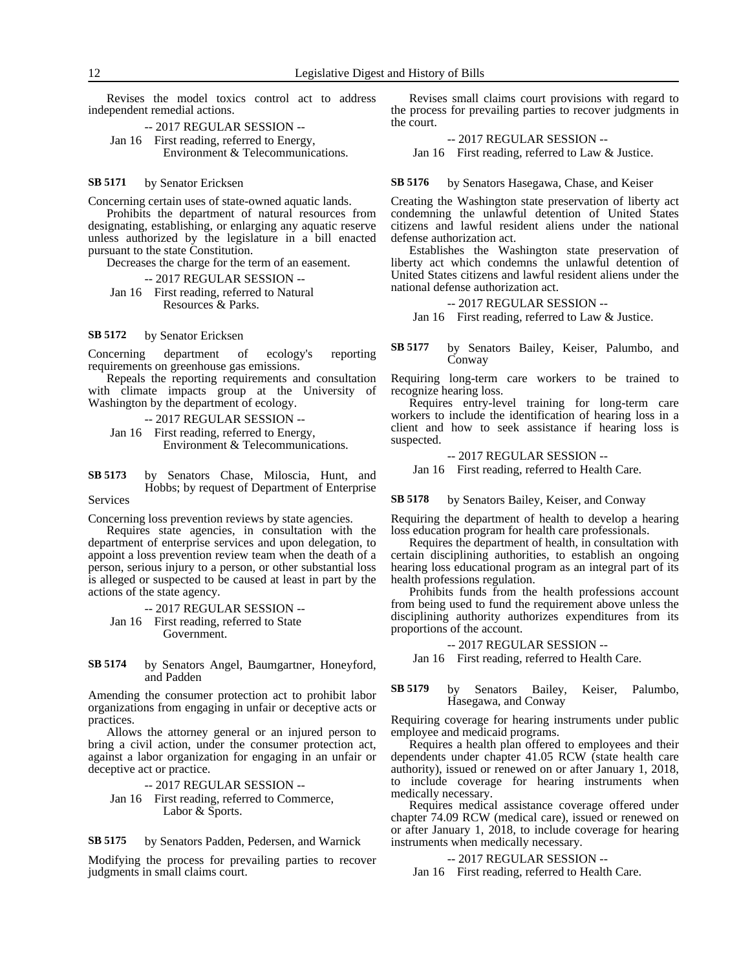Revises the model toxics control act to address independent remedial actions.

-- 2017 REGULAR SESSION -- Jan 16 First reading, referred to Energy, Environment & Telecommunications.

#### by Senator Ericksen **SB 5171**

Concerning certain uses of state-owned aquatic lands.

Prohibits the department of natural resources from designating, establishing, or enlarging any aquatic reserve unless authorized by the legislature in a bill enacted pursuant to the state Constitution.

Decreases the charge for the term of an easement.

-- 2017 REGULAR SESSION --

Jan 16 First reading, referred to Natural Resources & Parks.

by Senator Ericksen **SB 5172**

Concerning department of ecology's reporting requirements on greenhouse gas emissions.

Repeals the reporting requirements and consultation with climate impacts group at the University of Washington by the department of ecology.

-- 2017 REGULAR SESSION --

Jan 16 First reading, referred to Energy, Environment & Telecommunications.

by Senators Chase, Miloscia, Hunt, and Hobbs; by request of Department of Enterprise **SB 5173**

Services

Concerning loss prevention reviews by state agencies.

Requires state agencies, in consultation with the department of enterprise services and upon delegation, to appoint a loss prevention review team when the death of a person, serious injury to a person, or other substantial loss is alleged or suspected to be caused at least in part by the actions of the state agency.

-- 2017 REGULAR SESSION -- Jan 16 First reading, referred to State Government.

by Senators Angel, Baumgartner, Honeyford, and Padden **SB 5174**

Amending the consumer protection act to prohibit labor organizations from engaging in unfair or deceptive acts or practices.

Allows the attorney general or an injured person to bring a civil action, under the consumer protection act, against a labor organization for engaging in an unfair or deceptive act or practice.

-- 2017 REGULAR SESSION --

Jan 16 First reading, referred to Commerce, Labor & Sports.

by Senators Padden, Pedersen, and Warnick **SB 5175**

Modifying the process for prevailing parties to recover judgments in small claims court.

Revises small claims court provisions with regard to the process for prevailing parties to recover judgments in the court.

-- 2017 REGULAR SESSION --

Jan 16 First reading, referred to Law & Justice.

by Senators Hasegawa, Chase, and Keiser **SB 5176**

Creating the Washington state preservation of liberty act condemning the unlawful detention of United States citizens and lawful resident aliens under the national defense authorization act.

Establishes the Washington state preservation of liberty act which condemns the unlawful detention of United States citizens and lawful resident aliens under the national defense authorization act.

## -- 2017 REGULAR SESSION --

Jan 16 First reading, referred to Law & Justice.

by Senators Bailey, Keiser, Palumbo, and Conway **SB 5177**

Requiring long-term care workers to be trained to recognize hearing loss.

Requires entry-level training for long-term care workers to include the identification of hearing loss in a client and how to seek assistance if hearing loss is suspected.

-- 2017 REGULAR SESSION --

Jan 16 First reading, referred to Health Care.

by Senators Bailey, Keiser, and Conway **SB 5178**

Requiring the department of health to develop a hearing loss education program for health care professionals.

Requires the department of health, in consultation with certain disciplining authorities, to establish an ongoing hearing loss educational program as an integral part of its health professions regulation.

Prohibits funds from the health professions account from being used to fund the requirement above unless the disciplining authority authorizes expenditures from its proportions of the account.

-- 2017 REGULAR SESSION --

Jan 16 First reading, referred to Health Care.

#### by Senators Bailey, Keiser, Palumbo, Hasegawa, and Conway **SB 5179**

Requiring coverage for hearing instruments under public employee and medicaid programs.

Requires a health plan offered to employees and their dependents under chapter 41.05 RCW (state health care authority), issued or renewed on or after January 1, 2018, to include coverage for hearing instruments when medically necessary.

Requires medical assistance coverage offered under chapter 74.09 RCW (medical care), issued or renewed on or after January 1, 2018, to include coverage for hearing instruments when medically necessary.

### -- 2017 REGULAR SESSION --

Jan 16 First reading, referred to Health Care.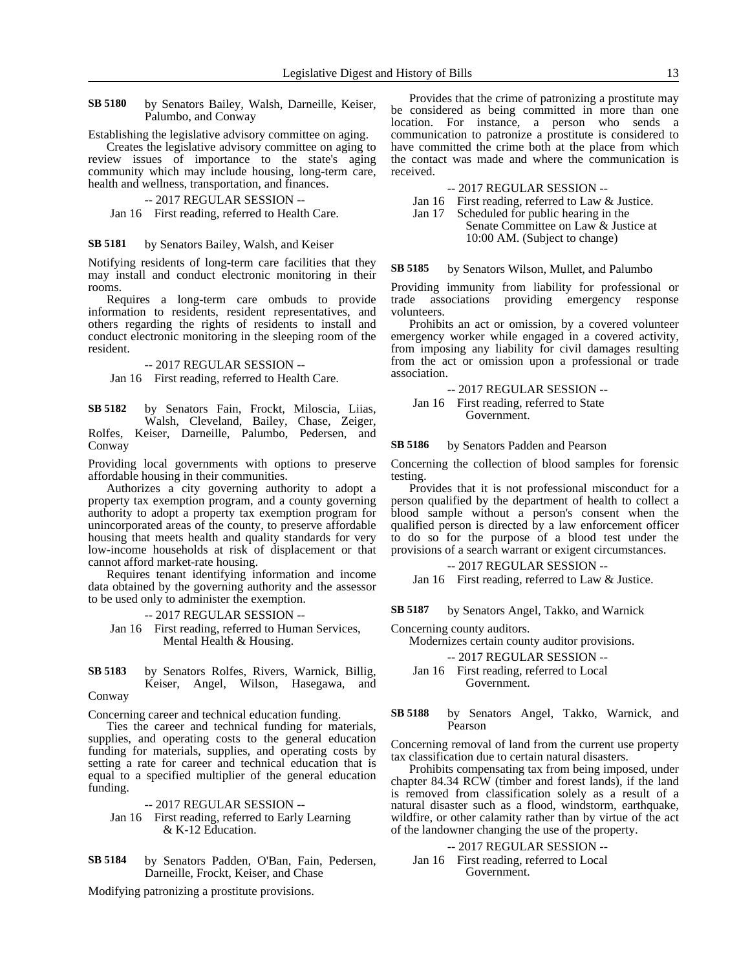by Senators Bailey, Walsh, Darneille, Keiser, Palumbo, and Conway **SB 5180**

Establishing the legislative advisory committee on aging.

Creates the legislative advisory committee on aging to review issues of importance to the state's aging community which may include housing, long-term care, health and wellness, transportation, and finances.

-- 2017 REGULAR SESSION --

Jan 16 First reading, referred to Health Care.

by Senators Bailey, Walsh, and Keiser **SB 5181**

Notifying residents of long-term care facilities that they may install and conduct electronic monitoring in their rooms.

Requires a long-term care ombuds to provide information to residents, resident representatives, and others regarding the rights of residents to install and conduct electronic monitoring in the sleeping room of the resident.

-- 2017 REGULAR SESSION --

Jan 16 First reading, referred to Health Care.

by Senators Fain, Frockt, Miloscia, Liias, Walsh, Cleveland, Bailey, Chase, Zeiger, Rolfes, Keiser, Darneille, Palumbo, Pedersen, and Conway **SB 5182**

Providing local governments with options to preserve affordable housing in their communities.

Authorizes a city governing authority to adopt a property tax exemption program, and a county governing authority to adopt a property tax exemption program for unincorporated areas of the county, to preserve affordable housing that meets health and quality standards for very low-income households at risk of displacement or that cannot afford market-rate housing.

Requires tenant identifying information and income data obtained by the governing authority and the assessor to be used only to administer the exemption.

-- 2017 REGULAR SESSION --

Jan 16 First reading, referred to Human Services, Mental Health & Housing.

by Senators Rolfes, Rivers, Warnick, Billig, Keiser, Angel, Wilson, Hasegawa, and Conway **SB 5183**

Concerning career and technical education funding.

Ties the career and technical funding for materials, supplies, and operating costs to the general education funding for materials, supplies, and operating costs by setting a rate for career and technical education that is equal to a specified multiplier of the general education funding.

-- 2017 REGULAR SESSION --

Jan 16 First reading, referred to Early Learning & K-12 Education.

by Senators Padden, O'Ban, Fain, Pedersen, Darneille, Frockt, Keiser, and Chase **SB 5184**

Modifying patronizing a prostitute provisions.

Provides that the crime of patronizing a prostitute may be considered as being committed in more than one location. For instance, a person who sends a communication to patronize a prostitute is considered to have committed the crime both at the place from which the contact was made and where the communication is received.

-- 2017 REGULAR SESSION --

Jan 16 First reading, referred to Law & Justice.

Jan 17 Scheduled for public hearing in the Senate Committee on Law & Justice at 10:00 AM. (Subject to change)

by Senators Wilson, Mullet, and Palumbo **SB 5185**

Providing immunity from liability for professional or trade associations providing emergency response volunteers.

Prohibits an act or omission, by a covered volunteer emergency worker while engaged in a covered activity, from imposing any liability for civil damages resulting from the act or omission upon a professional or trade association.

-- 2017 REGULAR SESSION -- Jan 16 First reading, referred to State Government.

by Senators Padden and Pearson **SB 5186**

Concerning the collection of blood samples for forensic testing.

Provides that it is not professional misconduct for a person qualified by the department of health to collect a blood sample without a person's consent when the qualified person is directed by a law enforcement officer to do so for the purpose of a blood test under the provisions of a search warrant or exigent circumstances.

# -- 2017 REGULAR SESSION --

Jan 16 First reading, referred to Law & Justice.

by Senators Angel, Takko, and Warnick **SB 5187**

Concerning county auditors.

Modernizes certain county auditor provisions.

-- 2017 REGULAR SESSION --

Jan 16 First reading, referred to Local Government.

#### by Senators Angel, Takko, Warnick, and Pearson **SB 5188**

Concerning removal of land from the current use property tax classification due to certain natural disasters.

Prohibits compensating tax from being imposed, under chapter 84.34 RCW (timber and forest lands), if the land is removed from classification solely as a result of a natural disaster such as a flood, windstorm, earthquake, wildfire, or other calamity rather than by virtue of the act of the landowner changing the use of the property.

-- 2017 REGULAR SESSION --

Jan 16 First reading, referred to Local Government.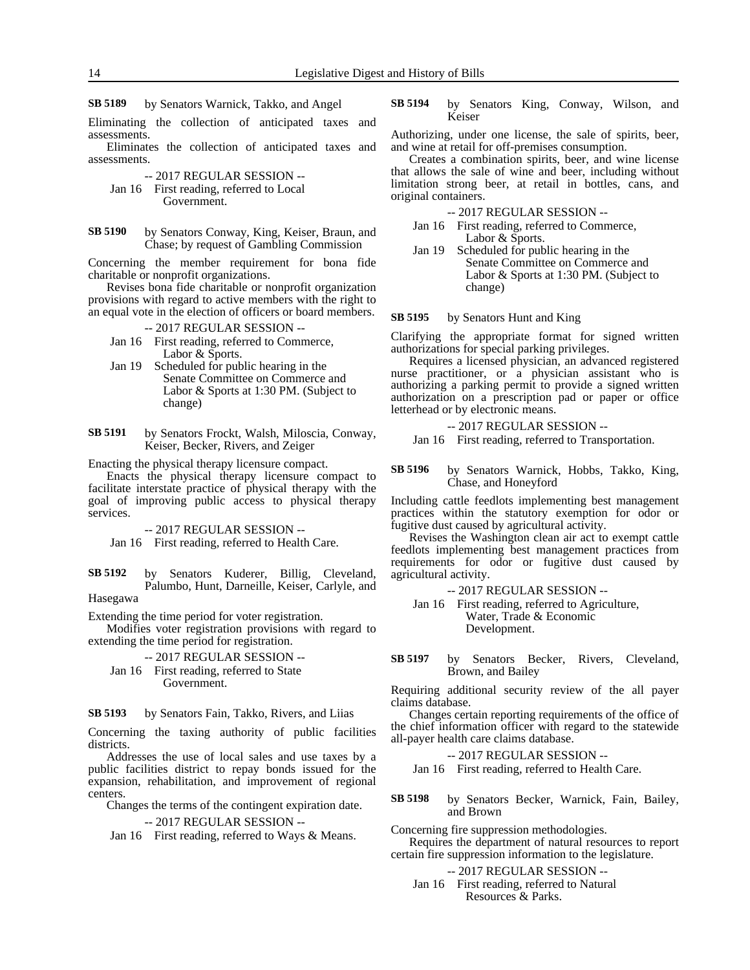by Senators Warnick, Takko, and Angel **SB 5189**

Eliminating the collection of anticipated taxes and assessments.

Eliminates the collection of anticipated taxes and assessments.

-- 2017 REGULAR SESSION -- Jan 16 First reading, referred to Local Government.

by Senators Conway, King, Keiser, Braun, and Chase; by request of Gambling Commission **SB 5190**

Concerning the member requirement for bona fide charitable or nonprofit organizations.

Revises bona fide charitable or nonprofit organization provisions with regard to active members with the right to an equal vote in the election of officers or board members.

-- 2017 REGULAR SESSION --

- Jan 16 First reading, referred to Commerce, Labor & Sports.
- Jan 19 Scheduled for public hearing in the Senate Committee on Commerce and Labor & Sports at 1:30 PM. (Subject to change)
- by Senators Frockt, Walsh, Miloscia, Conway, Keiser, Becker, Rivers, and Zeiger **SB 5191**

Enacting the physical therapy licensure compact.

Enacts the physical therapy licensure compact to facilitate interstate practice of physical therapy with the goal of improving public access to physical therapy services.

-- 2017 REGULAR SESSION --

Jan 16 First reading, referred to Health Care.

by Senators Kuderer, Billig, Cleveland, Palumbo, Hunt, Darneille, Keiser, Carlyle, and Hasegawa **SB 5192**

Extending the time period for voter registration.

Modifies voter registration provisions with regard to extending the time period for registration.

-- 2017 REGULAR SESSION --

Jan 16 First reading, referred to State Government.

by Senators Fain, Takko, Rivers, and Liias **SB 5193**

Concerning the taxing authority of public facilities districts.

Addresses the use of local sales and use taxes by a public facilities district to repay bonds issued for the expansion, rehabilitation, and improvement of regional centers.

Changes the terms of the contingent expiration date.

# -- 2017 REGULAR SESSION --

Jan 16 First reading, referred to Ways & Means.

by Senators King, Conway, Wilson, and Keiser **SB 5194**

Authorizing, under one license, the sale of spirits, beer, and wine at retail for off-premises consumption.

Creates a combination spirits, beer, and wine license that allows the sale of wine and beer, including without limitation strong beer, at retail in bottles, cans, and original containers.

-- 2017 REGULAR SESSION --

- Jan 16 First reading, referred to Commerce, Labor & Sports.
- Jan 19 Scheduled for public hearing in the Senate Committee on Commerce and Labor & Sports at 1:30 PM. (Subject to change)

by Senators Hunt and King **SB 5195**

Clarifying the appropriate format for signed written authorizations for special parking privileges.

Requires a licensed physician, an advanced registered nurse practitioner, or a physician assistant who is authorizing a parking permit to provide a signed written authorization on a prescription pad or paper or office letterhead or by electronic means.

-- 2017 REGULAR SESSION --

Jan 16 First reading, referred to Transportation.

by Senators Warnick, Hobbs, Takko, King, Chase, and Honeyford **SB 5196**

Including cattle feedlots implementing best management practices within the statutory exemption for odor or fugitive dust caused by agricultural activity.

Revises the Washington clean air act to exempt cattle feedlots implementing best management practices from requirements for odor or fugitive dust caused by agricultural activity.

-- 2017 REGULAR SESSION --

- Jan 16 First reading, referred to Agriculture, Water, Trade & Economic Development.
- by Senators Becker, Rivers, Cleveland, Brown, and Bailey **SB 5197**

Requiring additional security review of the all payer claims database.

Changes certain reporting requirements of the office of the chief information officer with regard to the statewide all-payer health care claims database.

-- 2017 REGULAR SESSION --

Jan 16 First reading, referred to Health Care.

by Senators Becker, Warnick, Fain, Bailey, and Brown **SB 5198**

Concerning fire suppression methodologies. Requires the department of natural resources to report certain fire suppression information to the legislature.

-- 2017 REGULAR SESSION --

Jan 16 First reading, referred to Natural Resources & Parks.